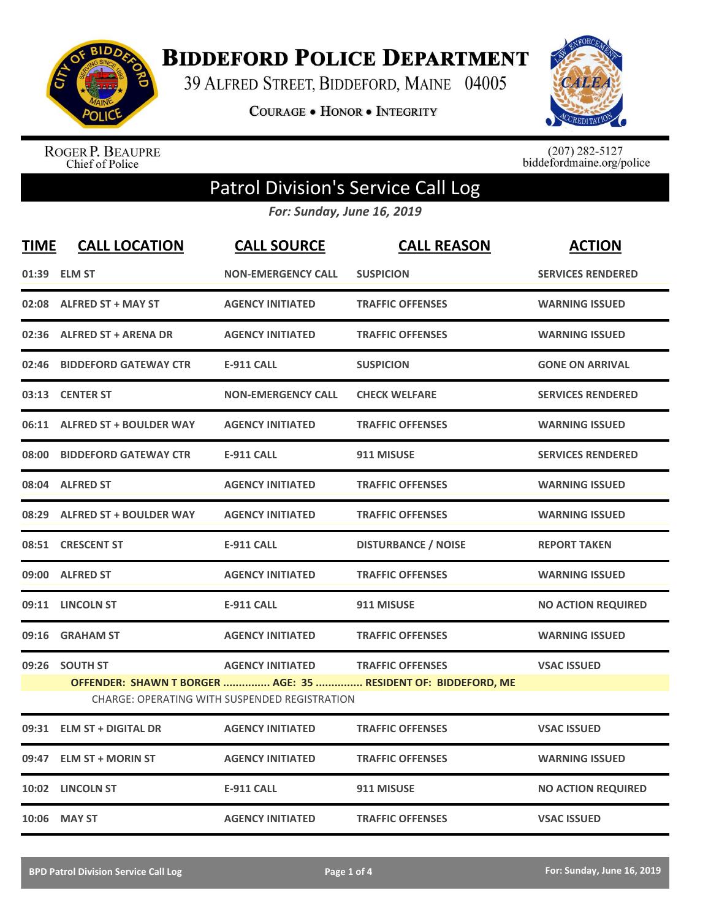

**BIDDEFORD POLICE DEPARTMENT** 

39 ALFRED STREET, BIDDEFORD, MAINE 04005

**COURAGE . HONOR . INTEGRITY** 



ROGER P. BEAUPRE<br>Chief of Police

 $(207)$  282-5127<br>biddefordmaine.org/police

## Patrol Division's Service Call Log

*For: Sunday, June 16, 2019*

| <b>TIME</b> | <b>CALL LOCATION</b>          | <b>CALL SOURCE</b>                                   | <b>CALL REASON</b>                                            | <b>ACTION</b>             |
|-------------|-------------------------------|------------------------------------------------------|---------------------------------------------------------------|---------------------------|
|             | 01:39 ELM ST                  | <b>NON-EMERGENCY CALL</b>                            | <b>SUSPICION</b>                                              | <b>SERVICES RENDERED</b>  |
|             | 02:08 ALFRED ST + MAY ST      | <b>AGENCY INITIATED</b>                              | <b>TRAFFIC OFFENSES</b>                                       | <b>WARNING ISSUED</b>     |
|             | 02:36 ALFRED ST + ARENA DR    | <b>AGENCY INITIATED</b>                              | <b>TRAFFIC OFFENSES</b>                                       | <b>WARNING ISSUED</b>     |
|             | 02:46 BIDDEFORD GATEWAY CTR   | <b>E-911 CALL</b>                                    | <b>SUSPICION</b>                                              | <b>GONE ON ARRIVAL</b>    |
|             | 03:13 CENTER ST               | <b>NON-EMERGENCY CALL</b>                            | <b>CHECK WELFARE</b>                                          | <b>SERVICES RENDERED</b>  |
|             | 06:11 ALFRED ST + BOULDER WAY | <b>AGENCY INITIATED</b>                              | <b>TRAFFIC OFFENSES</b>                                       | <b>WARNING ISSUED</b>     |
|             | 08:00 BIDDEFORD GATEWAY CTR   | <b>E-911 CALL</b>                                    | 911 MISUSE                                                    | <b>SERVICES RENDERED</b>  |
|             | 08:04 ALFRED ST               | <b>AGENCY INITIATED</b>                              | <b>TRAFFIC OFFENSES</b>                                       | <b>WARNING ISSUED</b>     |
|             | 08:29 ALFRED ST + BOULDER WAY | <b>AGENCY INITIATED</b>                              | <b>TRAFFIC OFFENSES</b>                                       | <b>WARNING ISSUED</b>     |
|             | 08:51 CRESCENT ST             | <b>E-911 CALL</b>                                    | <b>DISTURBANCE / NOISE</b>                                    | <b>REPORT TAKEN</b>       |
|             | 09:00 ALFRED ST               | <b>AGENCY INITIATED</b>                              | <b>TRAFFIC OFFENSES</b>                                       | <b>WARNING ISSUED</b>     |
|             | 09:11 LINCOLN ST              | <b>E-911 CALL</b>                                    | 911 MISUSE                                                    | <b>NO ACTION REQUIRED</b> |
|             | 09:16 GRAHAM ST               | <b>AGENCY INITIATED</b>                              | <b>TRAFFIC OFFENSES</b>                                       | <b>WARNING ISSUED</b>     |
|             | 09:26 SOUTH ST                | <b>AGENCY INITIATED</b>                              | <b>TRAFFIC OFFENSES</b>                                       | <b>VSAC ISSUED</b>        |
|             |                               |                                                      | OFFENDER: SHAWN T BORGER  AGE: 35  RESIDENT OF: BIDDEFORD, ME |                           |
|             |                               | <b>CHARGE: OPERATING WITH SUSPENDED REGISTRATION</b> |                                                               |                           |
|             | 09:31 ELM ST + DIGITAL DR     | <b>AGENCY INITIATED</b>                              | <b>TRAFFIC OFFENSES</b>                                       | <b>VSAC ISSUED</b>        |
|             | 09:47 ELM ST + MORIN ST       | <b>AGENCY INITIATED</b>                              | <b>TRAFFIC OFFENSES</b>                                       | <b>WARNING ISSUED</b>     |
|             | 10:02 LINCOLN ST              | <b>E-911 CALL</b>                                    | 911 MISUSE                                                    | <b>NO ACTION REQUIRED</b> |
|             | 10:06 MAY ST                  | <b>AGENCY INITIATED</b>                              | <b>TRAFFIC OFFENSES</b>                                       | <b>VSAC ISSUED</b>        |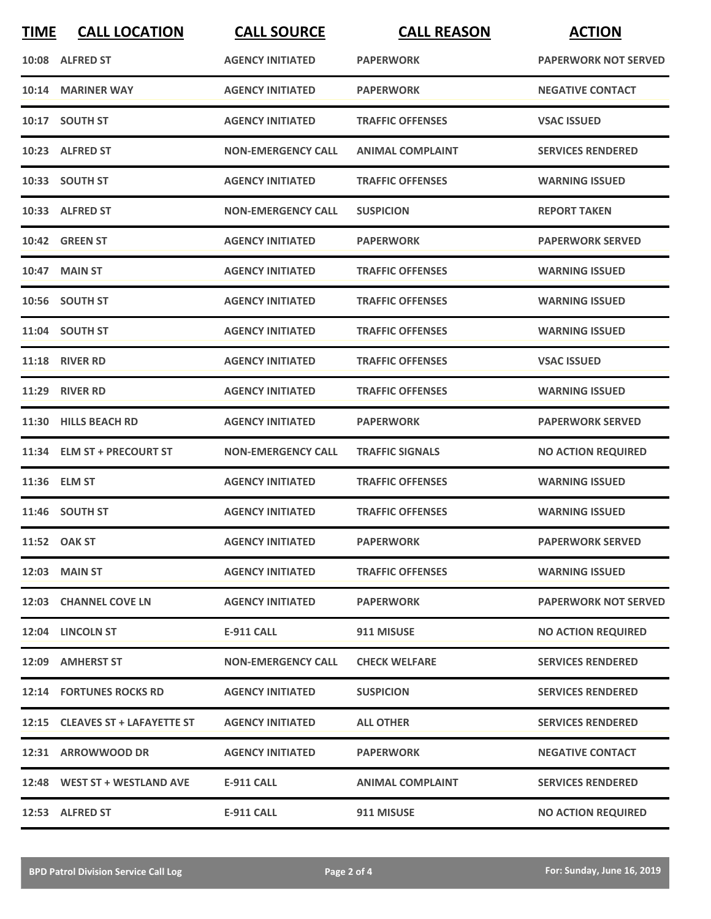| <b>TIME</b> | <b>CALL LOCATION</b>            | <b>CALL SOURCE</b>        | <b>CALL REASON</b>      | <b>ACTION</b>               |
|-------------|---------------------------------|---------------------------|-------------------------|-----------------------------|
|             | 10:08 ALFRED ST                 | <b>AGENCY INITIATED</b>   | <b>PAPERWORK</b>        | <b>PAPERWORK NOT SERVED</b> |
|             | 10:14 MARINER WAY               | <b>AGENCY INITIATED</b>   | <b>PAPERWORK</b>        | <b>NEGATIVE CONTACT</b>     |
|             | 10:17 SOUTH ST                  | <b>AGENCY INITIATED</b>   | <b>TRAFFIC OFFENSES</b> | <b>VSAC ISSUED</b>          |
|             | 10:23 ALFRED ST                 | <b>NON-EMERGENCY CALL</b> | <b>ANIMAL COMPLAINT</b> | <b>SERVICES RENDERED</b>    |
|             | 10:33 SOUTH ST                  | <b>AGENCY INITIATED</b>   | <b>TRAFFIC OFFENSES</b> | <b>WARNING ISSUED</b>       |
|             | 10:33 ALFRED ST                 | <b>NON-EMERGENCY CALL</b> | <b>SUSPICION</b>        | <b>REPORT TAKEN</b>         |
|             | 10:42 GREEN ST                  | <b>AGENCY INITIATED</b>   | <b>PAPERWORK</b>        | <b>PAPERWORK SERVED</b>     |
|             | <b>10:47 MAIN ST</b>            | <b>AGENCY INITIATED</b>   | <b>TRAFFIC OFFENSES</b> | <b>WARNING ISSUED</b>       |
|             | 10:56 SOUTH ST                  | <b>AGENCY INITIATED</b>   | <b>TRAFFIC OFFENSES</b> | <b>WARNING ISSUED</b>       |
|             | 11:04 SOUTH ST                  | <b>AGENCY INITIATED</b>   | <b>TRAFFIC OFFENSES</b> | <b>WARNING ISSUED</b>       |
|             | <b>11:18 RIVER RD</b>           | <b>AGENCY INITIATED</b>   | <b>TRAFFIC OFFENSES</b> | <b>VSAC ISSUED</b>          |
|             | <b>11:29 RIVER RD</b>           | <b>AGENCY INITIATED</b>   | <b>TRAFFIC OFFENSES</b> | <b>WARNING ISSUED</b>       |
| 11:30       | <b>HILLS BEACH RD</b>           | <b>AGENCY INITIATED</b>   | <b>PAPERWORK</b>        | <b>PAPERWORK SERVED</b>     |
|             | 11:34 ELM ST + PRECOURT ST      | <b>NON-EMERGENCY CALL</b> | <b>TRAFFIC SIGNALS</b>  | <b>NO ACTION REQUIRED</b>   |
|             | 11:36 ELM ST                    | <b>AGENCY INITIATED</b>   | <b>TRAFFIC OFFENSES</b> | <b>WARNING ISSUED</b>       |
|             | 11:46 SOUTH ST                  | <b>AGENCY INITIATED</b>   | <b>TRAFFIC OFFENSES</b> | <b>WARNING ISSUED</b>       |
|             | 11:52 OAK ST                    | <b>AGENCY INITIATED</b>   | <b>PAPERWORK</b>        | <b>PAPERWORK SERVED</b>     |
|             | 12:03 MAIN ST                   | <b>AGENCY INITIATED</b>   | <b>TRAFFIC OFFENSES</b> | <b>WARNING ISSUED</b>       |
|             | 12:03 CHANNEL COVE LN           | <b>AGENCY INITIATED</b>   | <b>PAPERWORK</b>        | <b>PAPERWORK NOT SERVED</b> |
|             | 12:04 LINCOLN ST                | <b>E-911 CALL</b>         | 911 MISUSE              | <b>NO ACTION REQUIRED</b>   |
|             | 12:09 AMHERST ST                | <b>NON-EMERGENCY CALL</b> | <b>CHECK WELFARE</b>    | <b>SERVICES RENDERED</b>    |
|             | 12:14 FORTUNES ROCKS RD         | <b>AGENCY INITIATED</b>   | <b>SUSPICION</b>        | <b>SERVICES RENDERED</b>    |
|             | 12:15 CLEAVES ST + LAFAYETTE ST | <b>AGENCY INITIATED</b>   | <b>ALL OTHER</b>        | <b>SERVICES RENDERED</b>    |
|             | 12:31 ARROWWOOD DR              | <b>AGENCY INITIATED</b>   | <b>PAPERWORK</b>        | <b>NEGATIVE CONTACT</b>     |
|             | 12:48 WEST ST + WESTLAND AVE    | <b>E-911 CALL</b>         | <b>ANIMAL COMPLAINT</b> | <b>SERVICES RENDERED</b>    |
|             | 12:53 ALFRED ST                 | E-911 CALL                | 911 MISUSE              | <b>NO ACTION REQUIRED</b>   |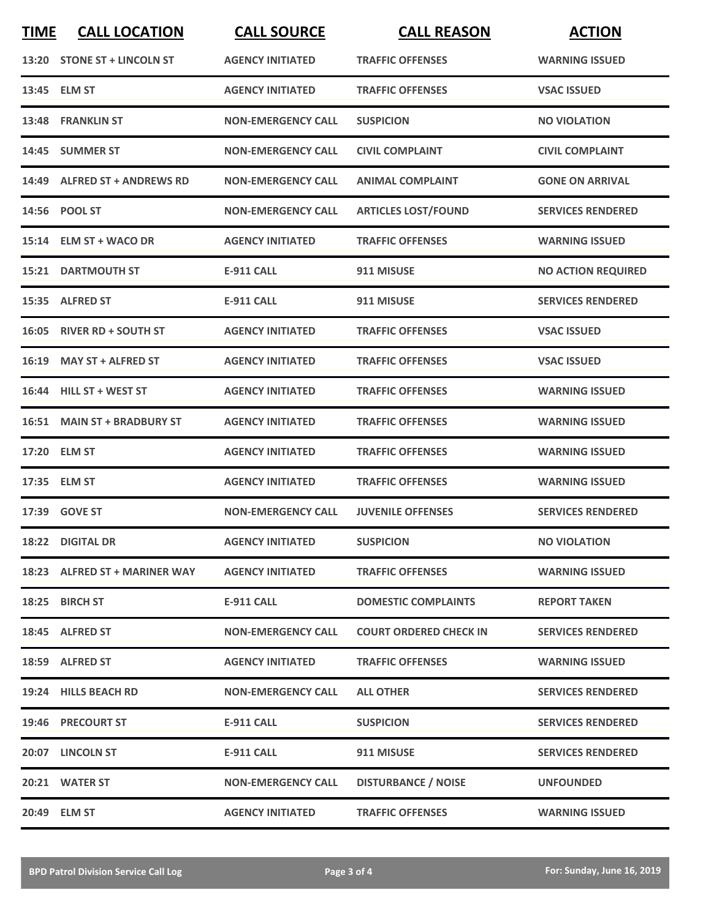| <b>TIME</b> | <b>CALL LOCATION</b>          | <b>CALL SOURCE</b>        | <b>CALL REASON</b>            | <b>ACTION</b>             |
|-------------|-------------------------------|---------------------------|-------------------------------|---------------------------|
|             | 13:20 STONE ST + LINCOLN ST   | <b>AGENCY INITIATED</b>   | <b>TRAFFIC OFFENSES</b>       | <b>WARNING ISSUED</b>     |
|             | 13:45 ELM ST                  | <b>AGENCY INITIATED</b>   | <b>TRAFFIC OFFENSES</b>       | <b>VSAC ISSUED</b>        |
|             | 13:48 FRANKLIN ST             | <b>NON-EMERGENCY CALL</b> | <b>SUSPICION</b>              | <b>NO VIOLATION</b>       |
|             | 14:45 SUMMER ST               | <b>NON-EMERGENCY CALL</b> | <b>CIVIL COMPLAINT</b>        | <b>CIVIL COMPLAINT</b>    |
|             | 14:49 ALFRED ST + ANDREWS RD  | <b>NON-EMERGENCY CALL</b> | <b>ANIMAL COMPLAINT</b>       | <b>GONE ON ARRIVAL</b>    |
|             | 14:56 POOL ST                 | <b>NON-EMERGENCY CALL</b> | <b>ARTICLES LOST/FOUND</b>    | <b>SERVICES RENDERED</b>  |
|             | 15:14 ELM ST + WACO DR        | <b>AGENCY INITIATED</b>   | <b>TRAFFIC OFFENSES</b>       | <b>WARNING ISSUED</b>     |
|             | <b>15:21 DARTMOUTH ST</b>     | <b>E-911 CALL</b>         | 911 MISUSE                    | <b>NO ACTION REQUIRED</b> |
|             | 15:35 ALFRED ST               | E-911 CALL                | 911 MISUSE                    | <b>SERVICES RENDERED</b>  |
|             | 16:05 RIVER RD + SOUTH ST     | <b>AGENCY INITIATED</b>   | <b>TRAFFIC OFFENSES</b>       | <b>VSAC ISSUED</b>        |
|             | 16:19 MAY ST + ALFRED ST      | <b>AGENCY INITIATED</b>   | <b>TRAFFIC OFFENSES</b>       | <b>VSAC ISSUED</b>        |
|             | 16:44 HILL ST + WEST ST       | <b>AGENCY INITIATED</b>   | <b>TRAFFIC OFFENSES</b>       | <b>WARNING ISSUED</b>     |
|             | 16:51 MAIN ST + BRADBURY ST   | <b>AGENCY INITIATED</b>   | <b>TRAFFIC OFFENSES</b>       | <b>WARNING ISSUED</b>     |
|             | 17:20 ELM ST                  | <b>AGENCY INITIATED</b>   | <b>TRAFFIC OFFENSES</b>       | <b>WARNING ISSUED</b>     |
|             | 17:35 ELM ST                  | <b>AGENCY INITIATED</b>   | <b>TRAFFIC OFFENSES</b>       | <b>WARNING ISSUED</b>     |
|             | 17:39 GOVE ST                 | <b>NON-EMERGENCY CALL</b> | <b>JUVENILE OFFENSES</b>      | <b>SERVICES RENDERED</b>  |
|             | 18:22 DIGITAL DR              | <b>AGENCY INITIATED</b>   | <b>SUSPICION</b>              | <b>NO VIOLATION</b>       |
|             | 18:23 ALFRED ST + MARINER WAY | <b>AGENCY INITIATED</b>   | <b>TRAFFIC OFFENSES</b>       | <b>WARNING ISSUED</b>     |
|             | 18:25 BIRCH ST                | E-911 CALL                | <b>DOMESTIC COMPLAINTS</b>    | <b>REPORT TAKEN</b>       |
|             | 18:45 ALFRED ST               | <b>NON-EMERGENCY CALL</b> | <b>COURT ORDERED CHECK IN</b> | <b>SERVICES RENDERED</b>  |
|             | 18:59 ALFRED ST               | <b>AGENCY INITIATED</b>   | <b>TRAFFIC OFFENSES</b>       | <b>WARNING ISSUED</b>     |
|             | 19:24 HILLS BEACH RD          | <b>NON-EMERGENCY CALL</b> | <b>ALL OTHER</b>              | <b>SERVICES RENDERED</b>  |
|             | 19:46 PRECOURT ST             | E-911 CALL                | <b>SUSPICION</b>              | <b>SERVICES RENDERED</b>  |
|             | 20:07 LINCOLN ST              | <b>E-911 CALL</b>         | 911 MISUSE                    | <b>SERVICES RENDERED</b>  |
|             | 20:21 WATER ST                | <b>NON-EMERGENCY CALL</b> | <b>DISTURBANCE / NOISE</b>    | <b>UNFOUNDED</b>          |
|             | 20:49 ELM ST                  | <b>AGENCY INITIATED</b>   | <b>TRAFFIC OFFENSES</b>       | <b>WARNING ISSUED</b>     |